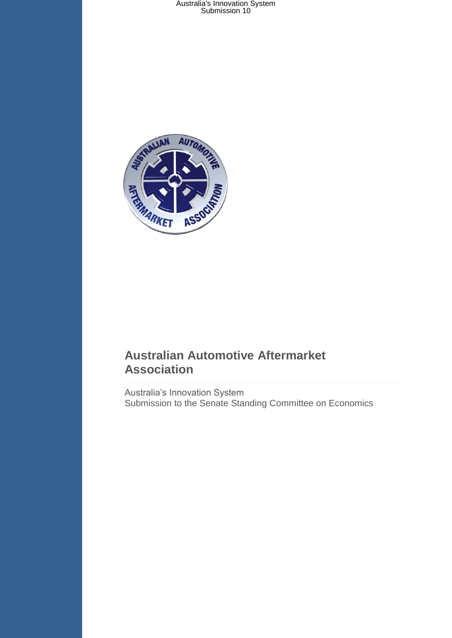

### **Australian Automotive Aftermarket Association**

Australia's Innovation System Submission to the Senate Standing Committee on Economics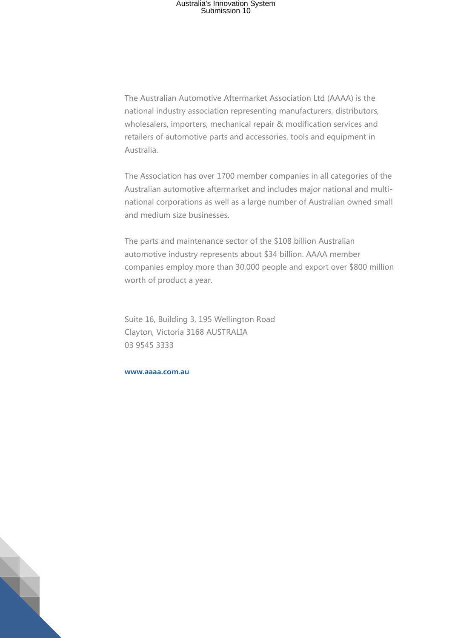The Australian Automotive Aftermarket Association Ltd (AAAA) is the national industry association representing manufacturers, distributors, wholesalers, importers, mechanical repair & modification services and retailers of automotive parts and accessories, tools and equipment in Australia.

The Association has over 1700 member companies in all categories of the Australian automotive aftermarket and includes major national and multinational corporations as well as a large number of Australian owned small and medium size businesses.

The parts and maintenance sector of the \$108 billion Australian automotive industry represents about \$34 billion. AAAA member companies employ more than 30,000 people and export over \$800 million worth of product a year.

Suite 16, Building 3, 195 Wellington Road Clayton, Victoria 3168 AUSTRALIA 03 9545 3333

**www.aaaa.com.au**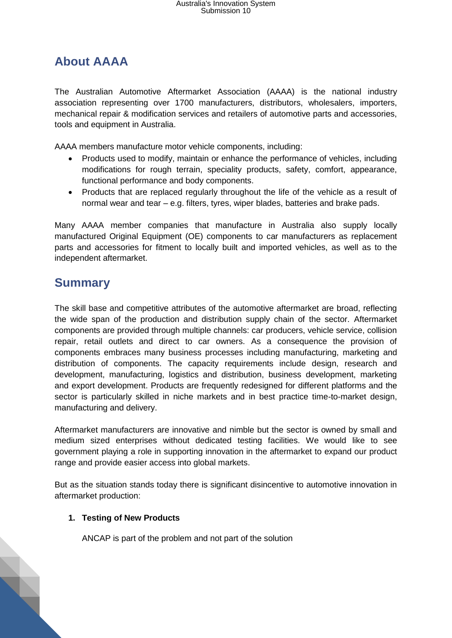### **About AAAA**

The Australian Automotive Aftermarket Association (AAAA) is the national industry association representing over 1700 manufacturers, distributors, wholesalers, importers, mechanical repair & modification services and retailers of automotive parts and accessories, tools and equipment in Australia.

AAAA members manufacture motor vehicle components, including:

- Products used to modify, maintain or enhance the performance of vehicles, including modifications for rough terrain, speciality products, safety, comfort, appearance, functional performance and body components.
- Products that are replaced regularly throughout the life of the vehicle as a result of normal wear and tear – e.g. filters, tyres, wiper blades, batteries and brake pads.

Many AAAA member companies that manufacture in Australia also supply locally manufactured Original Equipment (OE) components to car manufacturers as replacement parts and accessories for fitment to locally built and imported vehicles, as well as to the independent aftermarket.

### **Summary**

The skill base and competitive attributes of the automotive aftermarket are broad, reflecting the wide span of the production and distribution supply chain of the sector. Aftermarket components are provided through multiple channels: car producers, vehicle service, collision repair, retail outlets and direct to car owners. As a consequence the provision of components embraces many business processes including manufacturing, marketing and distribution of components. The capacity requirements include design, research and development, manufacturing, logistics and distribution, business development, marketing and export development. Products are frequently redesigned for different platforms and the sector is particularly skilled in niche markets and in best practice time-to-market design, manufacturing and delivery.

Aftermarket manufacturers are innovative and nimble but the sector is owned by small and medium sized enterprises without dedicated testing facilities. We would like to see government playing a role in supporting innovation in the aftermarket to expand our product range and provide easier access into global markets.

But as the situation stands today there is significant disincentive to automotive innovation in aftermarket production:

#### **1. Testing of New Products**

ANCAP is part of the problem and not part of the solution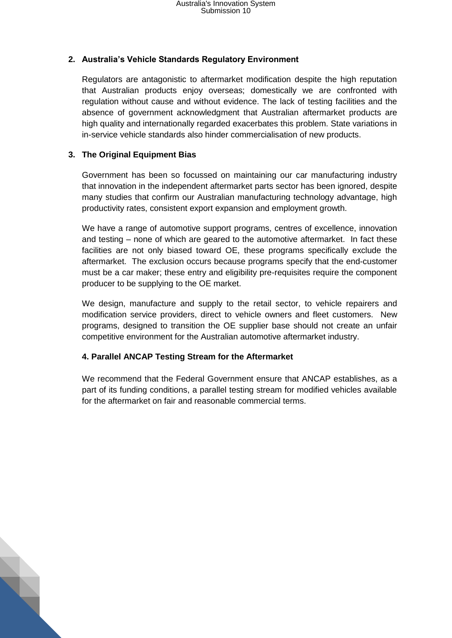#### **2. Australia's Vehicle Standards Regulatory Environment**

Regulators are antagonistic to aftermarket modification despite the high reputation that Australian products enjoy overseas; domestically we are confronted with regulation without cause and without evidence. The lack of testing facilities and the absence of government acknowledgment that Australian aftermarket products are high quality and internationally regarded exacerbates this problem. State variations in in-service vehicle standards also hinder commercialisation of new products.

#### **3. The Original Equipment Bias**

S

Government has been so focussed on maintaining our car manufacturing industry that innovation in the independent aftermarket parts sector has been ignored, despite many studies that confirm our Australian manufacturing technology advantage, high productivity rates, consistent export expansion and employment growth.

We have a range of automotive support programs, centres of excellence, innovation and testing – none of which are geared to the automotive aftermarket. In fact these facilities are not only biased toward OE, these programs specifically exclude the aftermarket. The exclusion occurs because programs specify that the end-customer must be a car maker; these entry and eligibility pre-requisites require the component producer to be supplying to the OE market.

We design, manufacture and supply to the retail sector, to vehicle repairers and modification service providers, direct to vehicle owners and fleet customers. New programs, designed to transition the OE supplier base should not create an unfair competitive environment for the Australian automotive aftermarket industry.

#### **4. Parallel ANCAP Testing Stream for the Aftermarket**

We recommend that the Federal Government ensure that ANCAP establishes, as a part of its funding conditions, a parallel testing stream for modified vehicles available for the aftermarket on fair and reasonable commercial terms.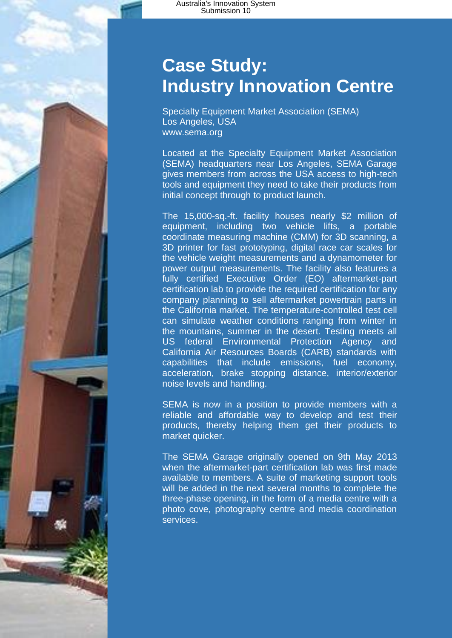# **Case Study: Industry Innovation Centre**

Specialty Equipment Market Association (SEMA) Los Angeles, USA www.sema.org

Located at the Specialty Equipment Market Association (SEMA) headquarters near Los Angeles, SEMA Garage gives members from across the USA access to high-tech tools and equipment they need to take their products from initial concept through to product launch.

The 15,000-sq.-ft. facility houses nearly \$2 million of equipment, including two vehicle lifts, a portable coordinate measuring machine (CMM) for 3D scanning, a 3D printer for fast prototyping, digital race car scales for the vehicle weight measurements and a dynamometer for power output measurements. The facility also features a fully certified Executive Order (EO) aftermarket-part certification lab to provide the required certification for any company planning to sell aftermarket powertrain parts in the California market. The temperature-controlled test cell can simulate weather conditions ranging from winter in the mountains, summer in the desert. Testing meets all US federal Environmental Protection Agency and California Air Resources Boards (CARB) standards with capabilities that include emissions, fuel economy, acceleration, brake stopping distance, interior/exterior noise levels and handling.

SEMA is now in a position to provide members with a reliable and affordable way to develop and test their products, thereby helping them get their products to market quicker.

The SEMA Garage originally opened on 9th May 2013 when the aftermarket-part certification lab was first made available to members. A suite of marketing support tools will be added in the next several months to complete the three-phase opening, in the form of a media centre with a photo cove, photography centre and media coordination services.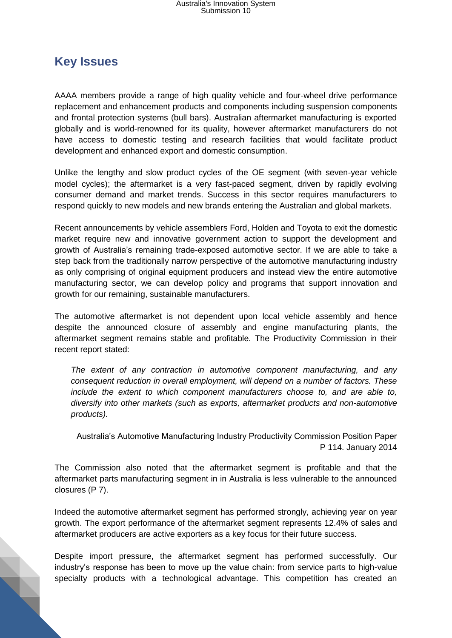### **Key Issues**

AAAA members provide a range of high quality vehicle and four-wheel drive performance replacement and enhancement products and components including suspension components and frontal protection systems (bull bars). Australian aftermarket manufacturing is exported globally and is world-renowned for its quality, however aftermarket manufacturers do not have access to domestic testing and research facilities that would facilitate product development and enhanced export and domestic consumption.

Unlike the lengthy and slow product cycles of the OE segment (with seven-year vehicle model cycles); the aftermarket is a very fast-paced segment, driven by rapidly evolving consumer demand and market trends. Success in this sector requires manufacturers to respond quickly to new models and new brands entering the Australian and global markets.

Recent announcements by vehicle assemblers Ford, Holden and Toyota to exit the domestic market require new and innovative government action to support the development and growth of Australia's remaining trade-exposed automotive sector. If we are able to take a step back from the traditionally narrow perspective of the automotive manufacturing industry as only comprising of original equipment producers and instead view the entire automotive manufacturing sector, we can develop policy and programs that support innovation and growth for our remaining, sustainable manufacturers.

The automotive aftermarket is not dependent upon local vehicle assembly and hence despite the announced closure of assembly and engine manufacturing plants, the aftermarket segment remains stable and profitable. The Productivity Commission in their recent report stated:

*The extent of any contraction in automotive component manufacturing, and any consequent reduction in overall employment, will depend on a number of factors. These include the extent to which component manufacturers choose to, and are able to, diversify into other markets (such as exports, aftermarket products and non-automotive products).*

Australia's Automotive Manufacturing Industry Productivity Commission Position Paper P 114. January 2014

The Commission also noted that the aftermarket segment is profitable and that the aftermarket parts manufacturing segment in in Australia is less vulnerable to the announced closures (P 7).

Indeed the automotive aftermarket segment has performed strongly, achieving year on year growth. The export performance of the aftermarket segment represents 12.4% of sales and aftermarket producers are active exporters as a key focus for their future success.

Despite import pressure, the aftermarket segment has performed successfully. Our industry's response has been to move up the value chain: from service parts to high-value specialty products with a technological advantage. This competition has created an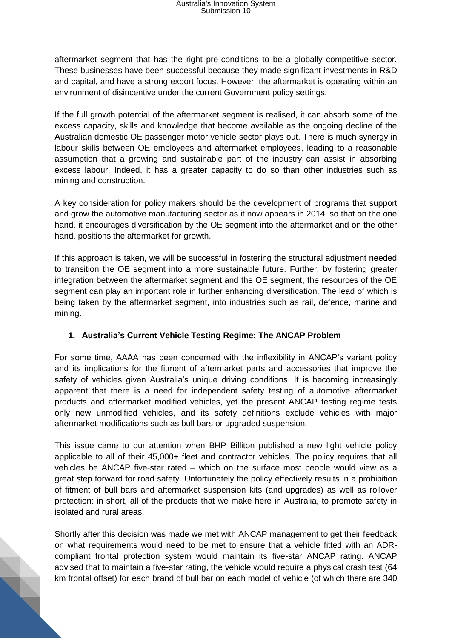aftermarket segment that has the right pre-conditions to be a globally competitive sector. These businesses have been successful because they made significant investments in R&D and capital, and have a strong export focus. However, the aftermarket is operating within an environment of disincentive under the current Government policy settings.

If the full growth potential of the aftermarket segment is realised, it can absorb some of the excess capacity, skills and knowledge that become available as the ongoing decline of the Australian domestic OE passenger motor vehicle sector plays out. There is much synergy in labour skills between OE employees and aftermarket employees, leading to a reasonable assumption that a growing and sustainable part of the industry can assist in absorbing excess labour. Indeed, it has a greater capacity to do so than other industries such as mining and construction.

A key consideration for policy makers should be the development of programs that support and grow the automotive manufacturing sector as it now appears in 2014, so that on the one hand, it encourages diversification by the OE segment into the aftermarket and on the other hand, positions the aftermarket for growth.

If this approach is taken, we will be successful in fostering the structural adjustment needed to transition the OE segment into a more sustainable future. Further, by fostering greater integration between the aftermarket segment and the OE segment, the resources of the OE segment can play an important role in further enhancing diversification. The lead of which is being taken by the aftermarket segment, into industries such as rail, defence, marine and mining.

#### **1. Australia's Current Vehicle Testing Regime: The ANCAP Problem**

For some time, AAAA has been concerned with the inflexibility in ANCAP's variant policy and its implications for the fitment of aftermarket parts and accessories that improve the safety of vehicles given Australia's unique driving conditions. It is becoming increasingly apparent that there is a need for independent safety testing of automotive aftermarket products and aftermarket modified vehicles, yet the present ANCAP testing regime tests only new unmodified vehicles, and its safety definitions exclude vehicles with major aftermarket modifications such as bull bars or upgraded suspension.

This issue came to our attention when BHP Billiton published a new light vehicle policy applicable to all of their 45,000+ fleet and contractor vehicles. The policy requires that all vehicles be ANCAP five-star rated – which on the surface most people would view as a great step forward for road safety. Unfortunately the policy effectively results in a prohibition of fitment of bull bars and aftermarket suspension kits (and upgrades) as well as rollover protection: in short, all of the products that we make here in Australia, to promote safety in isolated and rural areas.

Shortly after this decision was made we met with ANCAP management to get their feedback on what requirements would need to be met to ensure that a vehicle fitted with an ADRcompliant frontal protection system would maintain its five-star ANCAP rating. ANCAP advised that to maintain a five-star rating, the vehicle would require a physical crash test (64 km frontal offset) for each brand of bull bar on each model of vehicle (of which there are 340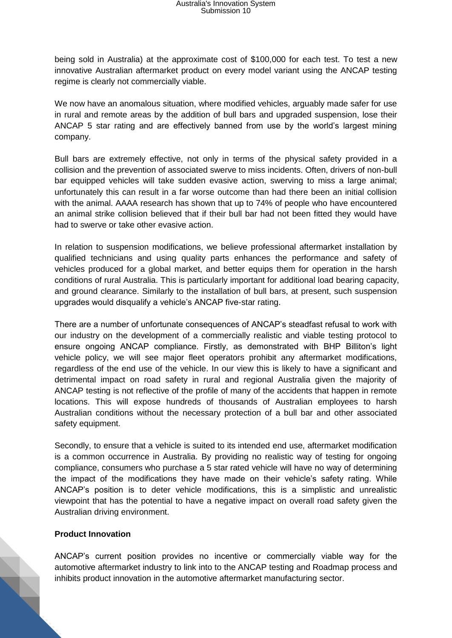being sold in Australia) at the approximate cost of \$100,000 for each test. To test a new innovative Australian aftermarket product on every model variant using the ANCAP testing regime is clearly not commercially viable.

We now have an anomalous situation, where modified vehicles, arguably made safer for use in rural and remote areas by the addition of bull bars and upgraded suspension, lose their ANCAP 5 star rating and are effectively banned from use by the world's largest mining company.

Bull bars are extremely effective, not only in terms of the physical safety provided in a collision and the prevention of associated swerve to miss incidents. Often, drivers of non-bull bar equipped vehicles will take sudden evasive action, swerving to miss a large animal; unfortunately this can result in a far worse outcome than had there been an initial collision with the animal. AAAA research has shown that up to 74% of people who have encountered an animal strike collision believed that if their bull bar had not been fitted they would have had to swerve or take other evasive action.

In relation to suspension modifications, we believe professional aftermarket installation by qualified technicians and using quality parts enhances the performance and safety of vehicles produced for a global market, and better equips them for operation in the harsh conditions of rural Australia. This is particularly important for additional load bearing capacity, and ground clearance. Similarly to the installation of bull bars, at present, such suspension upgrades would disqualify a vehicle's ANCAP five-star rating.

There are a number of unfortunate consequences of ANCAP's steadfast refusal to work with our industry on the development of a commercially realistic and viable testing protocol to ensure ongoing ANCAP compliance. Firstly, as demonstrated with BHP Billiton's light vehicle policy, we will see major fleet operators prohibit any aftermarket modifications, regardless of the end use of the vehicle. In our view this is likely to have a significant and detrimental impact on road safety in rural and regional Australia given the majority of ANCAP testing is not reflective of the profile of many of the accidents that happen in remote locations. This will expose hundreds of thousands of Australian employees to harsh Australian conditions without the necessary protection of a bull bar and other associated safety equipment.

Secondly, to ensure that a vehicle is suited to its intended end use, aftermarket modification is a common occurrence in Australia. By providing no realistic way of testing for ongoing compliance, consumers who purchase a 5 star rated vehicle will have no way of determining the impact of the modifications they have made on their vehicle's safety rating. While ANCAP's position is to deter vehicle modifications, this is a simplistic and unrealistic viewpoint that has the potential to have a negative impact on overall road safety given the Australian driving environment.

#### **Product Innovation**

ANCAP's current position provides no incentive or commercially viable way for the automotive aftermarket industry to link into to the ANCAP testing and Roadmap process and inhibits product innovation in the automotive aftermarket manufacturing sector.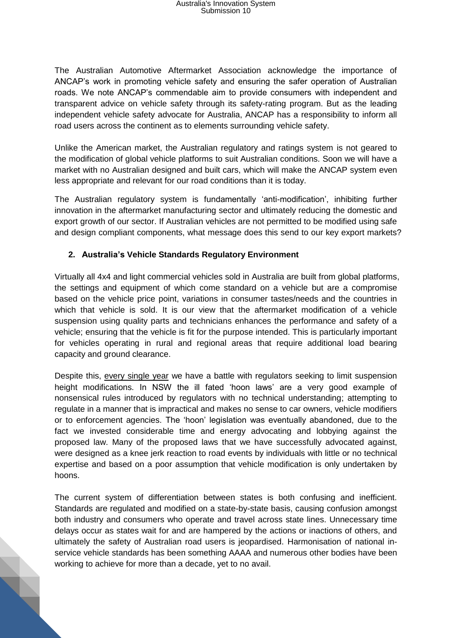The Australian Automotive Aftermarket Association acknowledge the importance of ANCAP's work in promoting vehicle safety and ensuring the safer operation of Australian roads. We note ANCAP's commendable aim to provide consumers with independent and transparent advice on vehicle safety through its safety-rating program. But as the leading independent vehicle safety advocate for Australia, ANCAP has a responsibility to inform all road users across the continent as to elements surrounding vehicle safety.

Unlike the American market, the Australian regulatory and ratings system is not geared to the modification of global vehicle platforms to suit Australian conditions. Soon we will have a market with no Australian designed and built cars, which will make the ANCAP system even less appropriate and relevant for our road conditions than it is today.

The Australian regulatory system is fundamentally 'anti-modification', inhibiting further innovation in the aftermarket manufacturing sector and ultimately reducing the domestic and export growth of our sector. If Australian vehicles are not permitted to be modified using safe and design compliant components, what message does this send to our key export markets?

#### **2. Australia's Vehicle Standards Regulatory Environment**

Virtually all 4x4 and light commercial vehicles sold in Australia are built from global platforms, the settings and equipment of which come standard on a vehicle but are a compromise based on the vehicle price point, variations in consumer tastes/needs and the countries in which that vehicle is sold. It is our view that the aftermarket modification of a vehicle suspension using quality parts and technicians enhances the performance and safety of a vehicle; ensuring that the vehicle is fit for the purpose intended. This is particularly important for vehicles operating in rural and regional areas that require additional load bearing capacity and ground clearance.

Despite this, every single year we have a battle with regulators seeking to limit suspension height modifications. In NSW the ill fated 'hoon laws' are a very good example of nonsensical rules introduced by regulators with no technical understanding; attempting to regulate in a manner that is impractical and makes no sense to car owners, vehicle modifiers or to enforcement agencies. The 'hoon' legislation was eventually abandoned, due to the fact we invested considerable time and energy advocating and lobbying against the proposed law. Many of the proposed laws that we have successfully advocated against, were designed as a knee jerk reaction to road events by individuals with little or no technical expertise and based on a poor assumption that vehicle modification is only undertaken by hoons.

The current system of differentiation between states is both confusing and inefficient. Standards are regulated and modified on a state-by-state basis, causing confusion amongst both industry and consumers who operate and travel across state lines. Unnecessary time delays occur as states wait for and are hampered by the actions or inactions of others, and ultimately the safety of Australian road users is jeopardised. Harmonisation of national inservice vehicle standards has been something AAAA and numerous other bodies have been working to achieve for more than a decade, yet to no avail.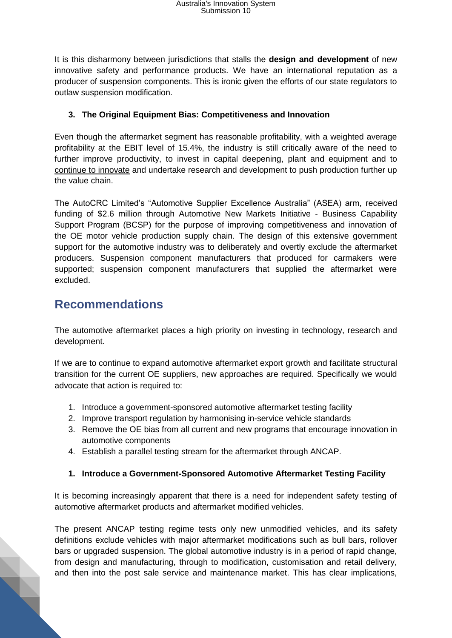It is this disharmony between jurisdictions that stalls the **design and development** of new innovative safety and performance products. We have an international reputation as a producer of suspension components. This is ironic given the efforts of our state regulators to outlaw suspension modification.

#### **3. The Original Equipment Bias: Competitiveness and Innovation**

Even though the aftermarket segment has reasonable profitability, with a weighted average profitability at the EBIT level of 15.4%, the industry is still critically aware of the need to further improve productivity, to invest in capital deepening, plant and equipment and to continue to innovate and undertake research and development to push production further up the value chain.

The AutoCRC Limited's "Automotive Supplier Excellence Australia" (ASEA) arm, received funding of \$2.6 million through Automotive New Markets Initiative - Business Capability Support Program (BCSP) for the purpose of improving competitiveness and innovation of the OE motor vehicle production supply chain. The design of this extensive government support for the automotive industry was to deliberately and overtly exclude the aftermarket producers. Suspension component manufacturers that produced for carmakers were supported; suspension component manufacturers that supplied the aftermarket were excluded.

### **Recommendations**

The automotive aftermarket places a high priority on investing in technology, research and development.

If we are to continue to expand automotive aftermarket export growth and facilitate structural transition for the current OE suppliers, new approaches are required. Specifically we would advocate that action is required to:

- 1. Introduce a government-sponsored automotive aftermarket testing facility
- 2. Improve transport regulation by harmonising in-service vehicle standards
- 3. Remove the OE bias from all current and new programs that encourage innovation in automotive components
- 4. Establish a parallel testing stream for the aftermarket through ANCAP.

#### **1. Introduce a Government-Sponsored Automotive Aftermarket Testing Facility**

It is becoming increasingly apparent that there is a need for independent safety testing of automotive aftermarket products and aftermarket modified vehicles.

The present ANCAP testing regime tests only new unmodified vehicles, and its safety definitions exclude vehicles with major aftermarket modifications such as bull bars, rollover bars or upgraded suspension. The global automotive industry is in a period of rapid change, from design and manufacturing, through to modification, customisation and retail delivery, and then into the post sale service and maintenance market. This has clear implications,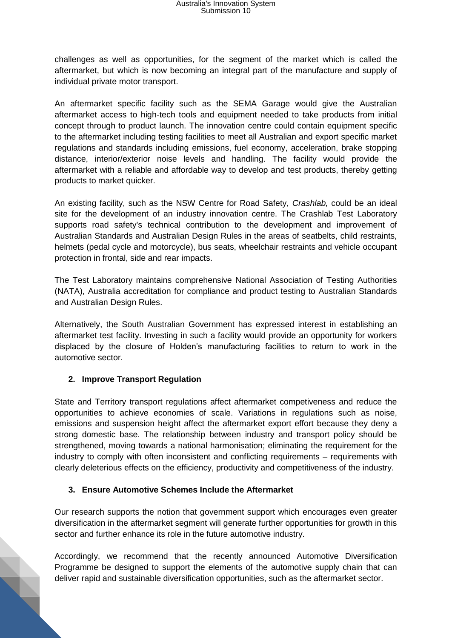challenges as well as opportunities, for the segment of the market which is called the aftermarket, but which is now becoming an integral part of the manufacture and supply of individual private motor transport.

An aftermarket specific facility such as the SEMA Garage would give the Australian aftermarket access to high-tech tools and equipment needed to take products from initial concept through to product launch. The innovation centre could contain equipment specific to the aftermarket including testing facilities to meet all Australian and export specific market regulations and standards including emissions, fuel economy, acceleration, brake stopping distance, interior/exterior noise levels and handling. The facility would provide the aftermarket with a reliable and affordable way to develop and test products, thereby getting products to market quicker.

An existing facility, such as the NSW Centre for Road Safety, *Crashlab,* could be an ideal site for the development of an industry innovation centre. The Crashlab Test Laboratory supports road safety's technical contribution to the development and improvement of Australian Standards and Australian Design Rules in the areas of seatbelts, child restraints, helmets (pedal cycle and motorcycle), bus seats, wheelchair restraints and vehicle occupant protection in frontal, side and rear impacts.

The Test Laboratory maintains comprehensive National Association of Testing Authorities (NATA), Australia accreditation for compliance and product testing to Australian Standards and Australian Design Rules.

Alternatively, the South Australian Government has expressed interest in establishing an aftermarket test facility. Investing in such a facility would provide an opportunity for workers displaced by the closure of Holden's manufacturing facilities to return to work in the automotive sector.

#### **2. Improve Transport Regulation**

State and Territory transport regulations affect aftermarket competiveness and reduce the opportunities to achieve economies of scale. Variations in regulations such as noise, emissions and suspension height affect the aftermarket export effort because they deny a strong domestic base. The relationship between industry and transport policy should be strengthened, moving towards a national harmonisation; eliminating the requirement for the industry to comply with often inconsistent and conflicting requirements – requirements with clearly deleterious effects on the efficiency, productivity and competitiveness of the industry.

#### **3. Ensure Automotive Schemes Include the Aftermarket**

Our research supports the notion that government support which encourages even greater diversification in the aftermarket segment will generate further opportunities for growth in this sector and further enhance its role in the future automotive industry.

Accordingly, we recommend that the recently announced Automotive Diversification Programme be designed to support the elements of the automotive supply chain that can deliver rapid and sustainable diversification opportunities, such as the aftermarket sector.